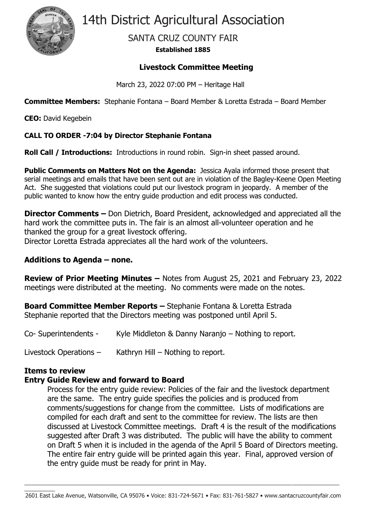

14th District Agricultural Association

# SANTA CRUZ COUNTY FAIR

### **Established 1885**

### **Livestock Committee Meeting**

March 23, 2022 07:00 PM – Heritage Hall

**Committee Members:** Stephanie Fontana – Board Member & Loretta Estrada – Board Member

**CEO:** David Kegebein

### **CALL TO ORDER -7:04 by Director Stephanie Fontana**

**Roll Call / Introductions:** Introductions in round robin. Sign-in sheet passed around.

**Public Comments on Matters Not on the Agenda:** Jessica Ayala informed those present that serial meetings and emails that have been sent out are in violation of the Bagley-Keene Open Meeting Act. She suggested that violations could put our livestock program in jeopardy. A member of the public wanted to know how the entry guide production and edit process was conducted.

**Director Comments –** Don Dietrich, Board President, acknowledged and appreciated all the hard work the committee puts in. The fair is an almost all-volunteer operation and he thanked the group for a great livestock offering. Director Loretta Estrada appreciates all the hard work of the volunteers.

### **Additions to Agenda – none.**

**Review of Prior Meeting Minutes –** Notes from August 25, 2021 and February 23, 2022 meetings were distributed at the meeting. No comments were made on the notes.

**Board Committee Member Reports –** Stephanie Fontana & Loretta Estrada Stephanie reported that the Directors meeting was postponed until April 5.

Co- Superintendents - Kyle Middleton & Danny Naranjo – Nothing to report.

Livestock Operations – Kathryn Hill – Nothing to report.

## **Items to review**

 $\mathcal{L}=\mathcal{L}$ 

### **Entry Guide Review and forward to Board**

Process for the entry guide review: Policies of the fair and the livestock department are the same. The entry guide specifies the policies and is produced from comments/suggestions for change from the committee. Lists of modifications are compiled for each draft and sent to the committee for review. The lists are then discussed at Livestock Committee meetings. Draft 4 is the result of the modifications suggested after Draft 3 was distributed. The public will have the ability to comment on Draft 5 when it is included in the agenda of the April 5 Board of Directors meeting. The entire fair entry guide will be printed again this year. Final, approved version of the entry guide must be ready for print in May.

\_\_\_\_\_\_\_\_\_\_\_\_\_\_\_\_\_\_\_\_\_\_\_\_\_\_\_\_\_\_\_\_\_\_\_\_\_\_\_\_\_\_\_\_\_\_\_\_\_\_\_\_\_\_\_\_\_\_\_\_\_\_\_\_\_\_\_\_\_\_\_\_\_\_\_\_\_\_\_\_\_\_\_\_\_\_\_\_\_\_\_\_\_\_\_\_\_\_\_\_\_\_\_\_\_\_\_\_\_\_\_\_\_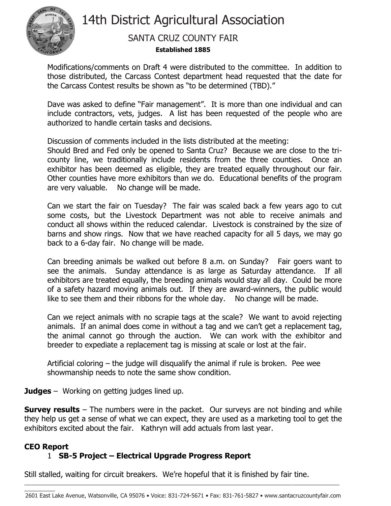

# 14th District Agricultural Association

## SANTA CRUZ COUNTY FAIR

### **Established 1885**

Modifications/comments on Draft 4 were distributed to the committee. In addition to those distributed, the Carcass Contest department head requested that the date for the Carcass Contest results be shown as "to be determined (TBD)."

Dave was asked to define "Fair management". It is more than one individual and can include contractors, vets, judges. A list has been requested of the people who are authorized to handle certain tasks and decisions.

Discussion of comments included in the lists distributed at the meeting:

Should Bred and Fed only be opened to Santa Cruz? Because we are close to the tricounty line, we traditionally include residents from the three counties. Once an exhibitor has been deemed as eligible, they are treated equally throughout our fair. Other counties have more exhibitors than we do. Educational benefits of the program are very valuable. No change will be made.

Can we start the fair on Tuesday? The fair was scaled back a few years ago to cut some costs, but the Livestock Department was not able to receive animals and conduct all shows within the reduced calendar. Livestock is constrained by the size of barns and show rings. Now that we have reached capacity for all 5 days, we may go back to a 6-day fair. No change will be made.

Can breeding animals be walked out before 8 a.m. on Sunday? Fair goers want to see the animals. Sunday attendance is as large as Saturday attendance. If all exhibitors are treated equally, the breeding animals would stay all day. Could be more of a safety hazard moving animals out. If they are award-winners, the public would like to see them and their ribbons for the whole day. No change will be made.

Can we reject animals with no scrapie tags at the scale? We want to avoid rejecting animals. If an animal does come in without a tag and we can't get a replacement tag, the animal cannot go through the auction. We can work with the exhibitor and breeder to expediate a replacement tag is missing at scale or lost at the fair.

Artificial coloring – the judge will disqualify the animal if rule is broken. Pee wee showmanship needs to note the same show condition.

**Judges** – Working on getting judges lined up.

**Survey results** – The numbers were in the packet. Our surveys are not binding and while they help us get a sense of what we can expect, they are used as a marketing tool to get the exhibitors excited about the fair. Kathryn will add actuals from last year.

## **CEO Report**

 $\mathcal{L}=\mathcal{L}$ 

## 1 **SB-5 Project – Electrical Upgrade Progress Report**

Still stalled, waiting for circuit breakers. We're hopeful that it is finished by fair tine.

\_\_\_\_\_\_\_\_\_\_\_\_\_\_\_\_\_\_\_\_\_\_\_\_\_\_\_\_\_\_\_\_\_\_\_\_\_\_\_\_\_\_\_\_\_\_\_\_\_\_\_\_\_\_\_\_\_\_\_\_\_\_\_\_\_\_\_\_\_\_\_\_\_\_\_\_\_\_\_\_\_\_\_\_\_\_\_\_\_\_\_\_\_\_\_\_\_\_\_\_\_\_\_\_\_\_\_\_\_\_\_\_\_